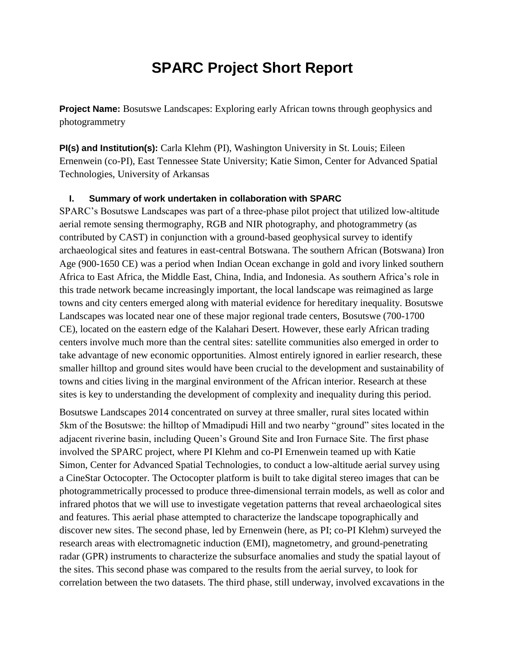## **SPARC Project Short Report**

**Project Name:** Bosutswe Landscapes: Exploring early African towns through geophysics and photogrammetry

**PI(s) and Institution(s):** Carla Klehm (PI), Washington University in St. Louis; Eileen Ernenwein (co-PI), East Tennessee State University; Katie Simon, Center for Advanced Spatial Technologies, University of Arkansas

### **I. Summary of work undertaken in collaboration with SPARC**

SPARC's Bosutswe Landscapes was part of a three-phase pilot project that utilized low-altitude aerial remote sensing thermography, RGB and NIR photography, and photogrammetry (as contributed by CAST) in conjunction with a ground-based geophysical survey to identify archaeological sites and features in east-central Botswana. The southern African (Botswana) Iron Age (900-1650 CE) was a period when Indian Ocean exchange in gold and ivory linked southern Africa to East Africa, the Middle East, China, India, and Indonesia. As southern Africa's role in this trade network became increasingly important, the local landscape was reimagined as large towns and city centers emerged along with material evidence for hereditary inequality. Bosutswe Landscapes was located near one of these major regional trade centers, Bosutswe (700-1700 CE), located on the eastern edge of the Kalahari Desert. However, these early African trading centers involve much more than the central sites: satellite communities also emerged in order to take advantage of new economic opportunities. Almost entirely ignored in earlier research, these smaller hilltop and ground sites would have been crucial to the development and sustainability of towns and cities living in the marginal environment of the African interior. Research at these sites is key to understanding the development of complexity and inequality during this period.

Bosutswe Landscapes 2014 concentrated on survey at three smaller, rural sites located within 5km of the Bosutswe: the hilltop of Mmadipudi Hill and two nearby "ground" sites located in the adjacent riverine basin, including Queen's Ground Site and Iron Furnace Site. The first phase involved the SPARC project, where PI Klehm and co-PI Ernenwein teamed up with Katie Simon, Center for Advanced Spatial Technologies, to conduct a low-altitude aerial survey using a CineStar Octocopter. The Octocopter platform is built to take digital stereo images that can be photogrammetrically processed to produce three-dimensional terrain models, as well as color and infrared photos that we will use to investigate vegetation patterns that reveal archaeological sites and features. This aerial phase attempted to characterize the landscape topographically and discover new sites. The second phase, led by Ernenwein (here, as PI; co-PI Klehm) surveyed the research areas with electromagnetic induction (EMI), magnetometry, and ground-penetrating radar (GPR) instruments to characterize the subsurface anomalies and study the spatial layout of the sites. This second phase was compared to the results from the aerial survey, to look for correlation between the two datasets. The third phase, still underway, involved excavations in the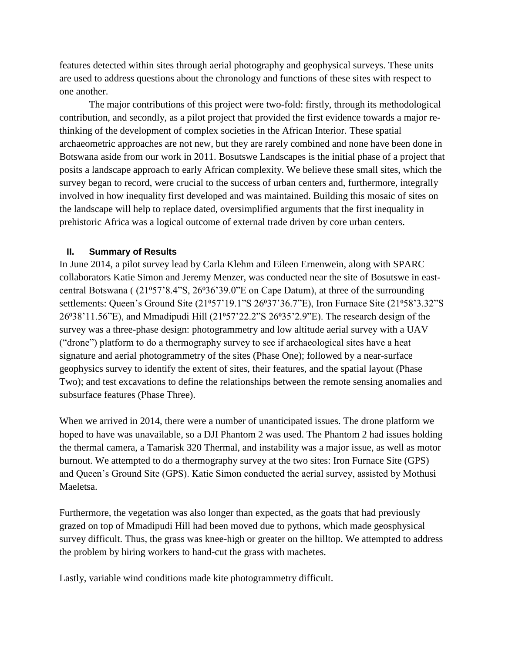features detected within sites through aerial photography and geophysical surveys. These units are used to address questions about the chronology and functions of these sites with respect to one another.

The major contributions of this project were two-fold: firstly, through its methodological contribution, and secondly, as a pilot project that provided the first evidence towards a major rethinking of the development of complex societies in the African Interior. These spatial archaeometric approaches are not new, but they are rarely combined and none have been done in Botswana aside from our work in 2011. Bosutswe Landscapes is the initial phase of a project that posits a landscape approach to early African complexity. We believe these small sites, which the survey began to record, were crucial to the success of urban centers and, furthermore, integrally involved in how inequality first developed and was maintained. Building this mosaic of sites on the landscape will help to replace dated, oversimplified arguments that the first inequality in prehistoric Africa was a logical outcome of external trade driven by core urban centers.

### **II. Summary of Results**

In June 2014, a pilot survey lead by Carla Klehm and Eileen Ernenwein, along with SPARC collaborators Katie Simon and Jeremy Menzer, was conducted near the site of Bosutswe in eastcentral Botswana (  $(21°57'8.4"S, 26°36'39.0"E$  on Cape Datum), at three of the surrounding settlements: Queen's Ground Site (21<sup>o</sup>57'19.1"S 26<sup>o</sup>37'36.7"E), Iron Furnace Site (21<sup>o</sup>58'3.32"S 26°38'11.56"E), and Mmadipudi Hill (21°57'22.2"S 26°35'2.9"E). The research design of the survey was a three-phase design: photogrammetry and low altitude aerial survey with a UAV ("drone") platform to do a thermography survey to see if archaeological sites have a heat signature and aerial photogrammetry of the sites (Phase One); followed by a near-surface geophysics survey to identify the extent of sites, their features, and the spatial layout (Phase Two); and test excavations to define the relationships between the remote sensing anomalies and subsurface features (Phase Three).

When we arrived in 2014, there were a number of unanticipated issues. The drone platform we hoped to have was unavailable, so a DJI Phantom 2 was used. The Phantom 2 had issues holding the thermal camera, a Tamarisk 320 Thermal, and instability was a major issue, as well as motor burnout. We attempted to do a thermography survey at the two sites: Iron Furnace Site (GPS) and Queen's Ground Site (GPS). Katie Simon conducted the aerial survey, assisted by Mothusi Maeletsa.

Furthermore, the vegetation was also longer than expected, as the goats that had previously grazed on top of Mmadipudi Hill had been moved due to pythons, which made geosphysical survey difficult. Thus, the grass was knee-high or greater on the hilltop. We attempted to address the problem by hiring workers to hand-cut the grass with machetes.

Lastly, variable wind conditions made kite photogrammetry difficult.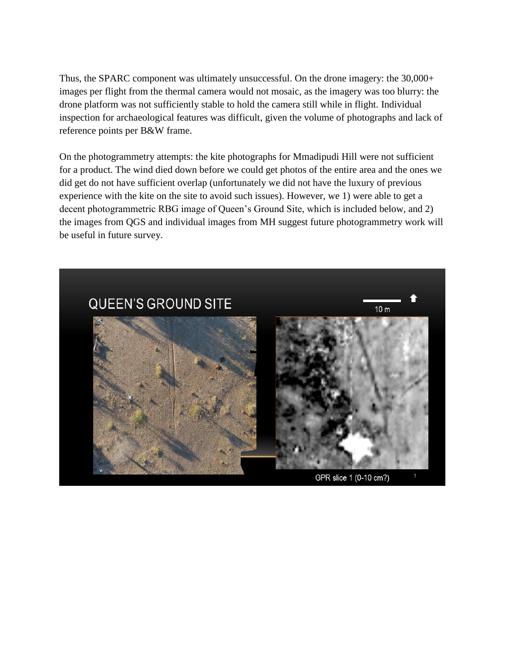Thus, the SPARC component was ultimately unsuccessful. On the drone imagery: the 30,000+ images per flight from the thermal camera would not mosaic, as the imagery was too blurry: the drone platform was not sufficiently stable to hold the camera still while in flight. Individual inspection for archaeological features was difficult, given the volume of photographs and lack of reference points per B&W frame.

On the photogrammetry attempts: the kite photographs for Mmadipudi Hill were not sufficient for a product. The wind died down before we could get photos of the entire area and the ones we did get do not have sufficient overlap (unfortunately we did not have the luxury of previous experience with the kite on the site to avoid such issues). However, we 1) were able to get a decent photogrammetric RBG image of Queen's Ground Site, which is included below, and 2) the images from QGS and individual images from MH suggest future photogrammetry work will be useful in future survey.

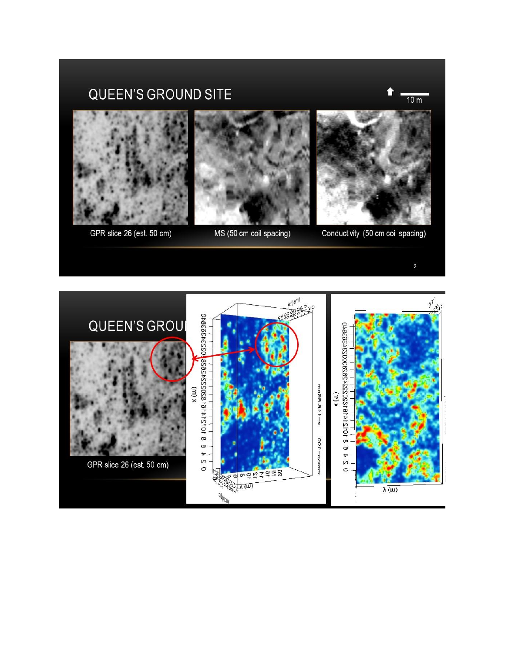# QUEEN'S GROUND SITE





GPR slice 26 (est. 50 cm)



MS (50 cm coil spacing)



Conductivity (50 cm coil spacing)